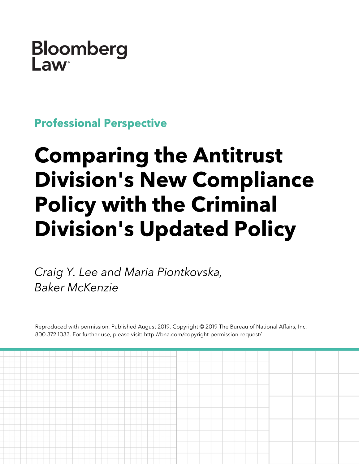## **Bloomberg**  $\mathsf{I}$  aw

**Professional Perspective**

# **Comparing the Antitrust Division's New Compliance Policy with the Criminal Division's Updated Policy**

*Craig Y. Lee and Maria Piontkovska, Baker McKenzie*

Reproduced with permission. Published August 2019. Copyright © 2019 The Bureau of National Affairs, Inc. 800.372.1033. For further use, please visit: http://bna.com/copyright-permission-request/

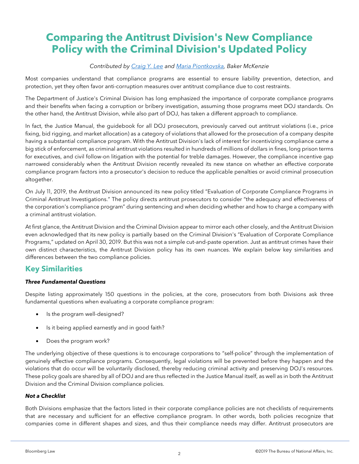### **Comparing the Antitrust Division's New Compliance Policy with the Criminal Division's Updated Policy**

#### *Contributed by [Craig Y. Lee](https://www.bakermckenzie.com/en/people/l/lee-craig) and [Maria Piontkovska,](https://www.bakermckenzie.com/en/people/p/piontkovska-maria) Baker McKenzie*

Most companies understand that compliance programs are essential to ensure liability prevention, detection, and protection, yet they often favor anti-corruption measures over antitrust compliance due to cost restraints.

The Department of Justice's Criminal Division has long emphasized the importance of corporate compliance programs and their benefits when facing a corruption or bribery investigation, assuming those programs meet DOJ standards. On the other hand, the Antitrust Division, while also part of DOJ, has taken a different approach to compliance.

In fact, the Justice Manual, the guidebook for all DOJ prosecutors, previously carved out antitrust violations (i.e., price fixing, bid rigging, and market allocation) as a category of violations that allowed for the prosecution of a company despite having a substantial compliance program. With the Antitrust Division's lack of interest for incentivizing compliance came a big stick of enforcement, as criminal antitrust violations resulted in hundreds of millions of dollars in fines, long prison terms for executives, and civil follow-on litigation with the potential for treble damages. However, the compliance incentive gap narrowed considerably when the Antitrust Division recently revealed its new stance on whether an effective corporate compliance program factors into a prosecutor's decision to reduce the applicable penalties or avoid criminal prosecution altogether.

On July 11, 2019, the Antitrust Division announced its new policy titled "Evaluation of Corporate Compliance Programs in Criminal Antitrust Investigations." The policy directs antitrust prosecutors to consider "the adequacy and effectiveness of the corporation's compliance program" during sentencing and when deciding whether and how to charge a company with a criminal antitrust violation.

At first glance, the Antitrust Division and the Criminal Division appear to mirror each other closely, and the Antitrust Division even acknowledged that its new policy is partially based on the Criminal Division's "Evaluation of Corporate Compliance Programs," updated on April 30, 2019. But this was not a simple cut-and-paste operation. Just as antitrust crimes have their own distinct characteristics, the Antitrust Division policy has its own nuances. We explain below key similarities and differences between the two compliance policies.

#### **Key Similarities**

#### *Three Fundamental Questions*

Despite listing approximately 150 questions in the policies, at the core, prosecutors from both Divisions ask three fundamental questions when evaluating a corporate compliance program:

- Is the program well-designed?
- Is it being applied earnestly and in good faith?
- Does the program work?

The underlying objective of these questions is to encourage corporations to "self-police" through the implementation of genuinely effective compliance programs. Consequently, legal violations will be prevented before they happen and the violations that do occur will be voluntarily disclosed, thereby reducing criminal activity and preserving DOJ's resources. These policy goals are shared by all of DOJ and are thus reflected in the Justice Manual itself, as well as in both the Antitrust Division and the Criminal Division compliance policies.

#### *Not a Checklist*

Both Divisions emphasize that the factors listed in their corporate compliance policies are not checklists of requirements that are necessary and sufficient for an effective compliance program. In other words, both policies recognize that companies come in different shapes and sizes, and thus their compliance needs may differ. Antitrust prosecutors are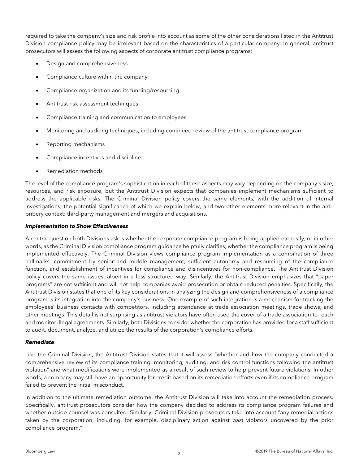required to take the company's size and risk profile into account as some of the other considerations listed in the Antitrust Division compliance policy may be irrelevant based on the characteristics of a particular company. In general, antitrust prosecutors will assess the following aspects of corporate antitrust compliance programs:

- Design and comprehensiveness
- Compliance culture within the company
- Compliance organization and its funding/resourcing
- Antitrust risk assessment techniques
- Compliance training and communication to employees
- Monitoring and auditing techniques, including continued review of the antitrust compliance program
- Reporting mechanisms
- Compliance incentives and discipline
- Remediation methods

The level of the compliance program's sophistication in each of these aspects may vary depending on the company's size, resources, and risk exposure, but the Antitrust Division expects that companies implement mechanisms sufficient to address the applicable risks. The Criminal Division policy covers the same elements, with the addition of internal investigations, the potential significance of which we explain below, and two other elements more relevant in the antibribery context: third-party management and mergers and acquisitions.

#### *Implementation to Show Effectiveness*

A central question both Divisions ask is whether the corporate compliance program is being applied earnestly, or in other words, as the Criminal Division compliance program guidance helpfully clarifies, whether the compliance program is being implemented effectively. The Criminal Division views compliance program implementation as a combination of three hallmarks: commitment by senior and middle management, sufficient autonomy and resourcing of the compliance function, and establishment of incentives for compliance and disincentives for non-compliance. The Antitrust Division policy covers the same issues, albeit in a less structured way. Similarly, the Antitrust Division emphasizes that "paper programs" are not sufficient and will not help companies avoid prosecution or obtain reduced penalties. Specifically, the Antitrust Division states that one of its key considerations in analyzing the design and comprehensiveness of a compliance program is its integration into the company's business. One example of such integration is a mechanism for tracking the employees' business contacts with competitors, including attendance at trade association meetings, trade shows, and other meetings. This detail is not surprising as antitrust violators have often used the cover of a trade association to reach and monitor illegal agreements. Similarly, both Divisions consider whether the corporation has provided for a staff sufficient to audit, document, analyze, and utilize the results of the corporation's compliance efforts.

#### *Remediate*

Like the Criminal Division, the Antitrust Division states that it will assess "whether and how the company conducted a comprehensive review of its compliance training, monitoring, auditing, and risk control functions following the antitrust violation" and what modifications were implemented as a result of such review to help prevent future violations. In other words, a company may still have an opportunity for credit based on its remediation efforts even if its compliance program failed to prevent the initial misconduct.

In addition to the ultimate remediation outcome, the Antitrust Division will take into account the remediation process. Specifically, antitrust prosecutors consider how the company decided to address its compliance program failures and whether outside counsel was consulted. Similarly, Criminal Division prosecutors take into account "any remedial actions taken by the corporation, including, for example, disciplinary action against past violators uncovered by the prior compliance program."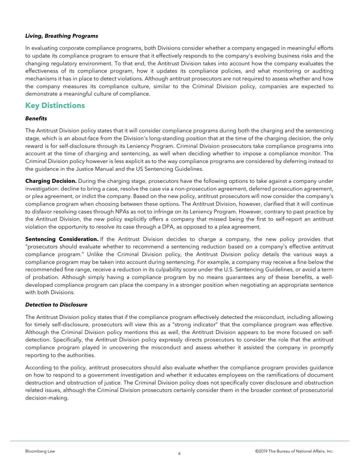#### *Living, Breathing Programs*

In evaluating corporate compliance programs, both Divisions consider whether a company engaged in meaningful efforts to update its compliance program to ensure that it effectively responds to the company's evolving business risks and the changing regulatory environment. To that end, the Antitrust Division takes into account how the company evaluates the effectiveness of its compliance program, how it updates its compliance policies, and what monitoring or auditing mechanisms it has in place to detect violations. Although antitrust prosecutors are not required to assess whether and how the company measures its compliance culture, similar to the Criminal Division policy, companies are expected to demonstrate a meaningful culture of compliance.

#### **Key Distinctions**

#### *Benefits*

The Antitrust Division policy states that it will consider compliance programs during both the charging and the sentencing stage, which is an about-face from the Division's long-standing position that at the time of the charging decision, the only reward is for self-disclosure through its Leniency Program. Criminal Division prosecutors take compliance programs into account at the time of charging and sentencing, as well when deciding whether to impose a compliance monitor. The Criminal Division policy however is less explicit as to the way compliance programs are considered by deferring instead to the guidance in the Justice Manual and the US Sentencing Guidelines.

**Charging Decision.** During the charging stage, prosecutors have the following options to take against a company under investigation: decline to bring a case, resolve the case via a non-prosecution agreement, deferred prosecution agreement, or plea agreement, or indict the company. Based on the new policy, antitrust prosecutors will now consider the company's compliance program when choosing between these options. The Antitrust Division, however, clarified that it will continue to disfavor resolving cases through NPAs as not to infringe on its Leniency Program. However, contrary to past practice by the Antitrust Division, the new policy explicitly offers a company that missed being the first to self-report an antitrust violation the opportunity to resolve its case through a DPA, as opposed to a plea agreement.

**Sentencing Consideration.** If the Antitrust Division decides to charge a company, the new policy provides that "prosecutors should evaluate whether to recommend a sentencing reduction based on a company's effective antitrust compliance program." Unlike the Criminal Division policy, the Antitrust Division policy details the various ways a compliance program may be taken into account during sentencing. For example, a company may receive a fine below the recommended fine range, receive a reduction in its culpability score under the U.S. Sentencing Guidelines, or avoid a term of probation. Although simply having a compliance program by no means guarantees any of these benefits, a welldeveloped compliance program can place the company in a stronger position when negotiating an appropriate sentence with both Divisions.

#### *Detection to Disclosure*

The Antitrust Division policy states that if the compliance program effectively detected the misconduct, including allowing for timely self-disclosure, prosecutors will view this as a "strong indicator" that the compliance program was effective. Although the Criminal Division policy mentions this as well, the Antitrust Division appears to be more focused on selfdetection. Specifically, the Antitrust Division policy expressly directs prosecutors to consider the role that the antitrust compliance program played in uncovering the misconduct and assess whether it assisted the company in promptly reporting to the authorities.

According to the policy, antitrust prosecutors should also evaluate whether the compliance program provides guidance on how to respond to a government investigation and whether it educates employees on the ramifications of document destruction and obstruction of justice. The Criminal Division policy does not specifically cover disclosure and obstruction related issues, although the Criminal Division prosecutors certainly consider them in the broader context of prosecutorial decision-making.